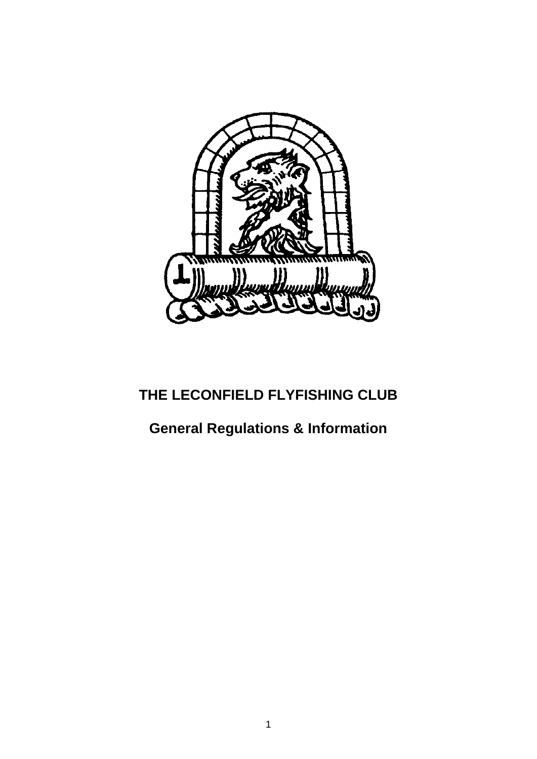

# **THE LECONFIELD FLYFISHING CLUB**

# **General Regulations & Information**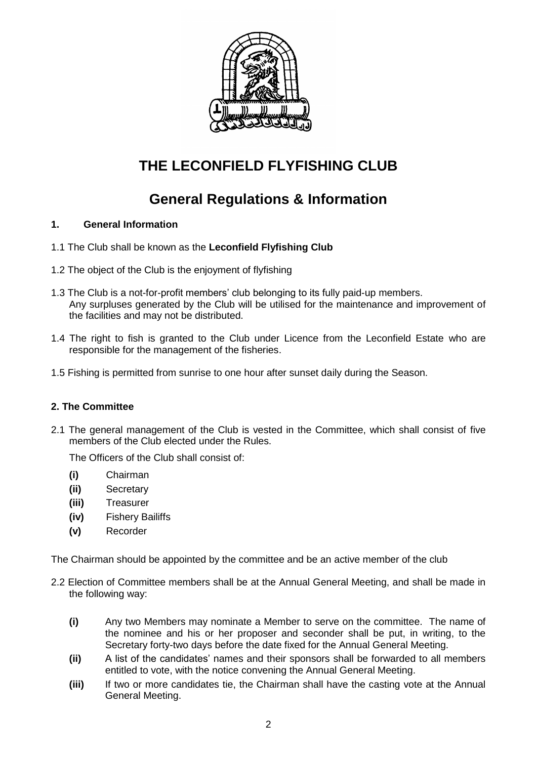

## **THE LECONFIELD FLYFISHING CLUB**

## **General Regulations & Information**

## **1. General Information**

- 1.1 The Club shall be known as the **Leconfield Flyfishing Club**
- 1.2 The object of the Club is the enjoyment of flyfishing
- 1.3 The Club is a not-for-profit members' club belonging to its fully paid-up members. Any surpluses generated by the Club will be utilised for the maintenance and improvement of the facilities and may not be distributed.
- 1.4 The right to fish is granted to the Club under Licence from the Leconfield Estate who are responsible for the management of the fisheries.
- 1.5 Fishing is permitted from sunrise to one hour after sunset daily during the Season.

## **2. The Committee**

2.1 The general management of the Club is vested in the Committee, which shall consist of five members of the Club elected under the Rules.

The Officers of the Club shall consist of:

- **(i)** Chairman
- **(ii)** Secretary
- **(iii)** Treasurer
- **(iv)** Fishery Bailiffs
- **(v)** Recorder

The Chairman should be appointed by the committee and be an active member of the club

- 2.2 Election of Committee members shall be at the Annual General Meeting, and shall be made in the following way:
	- **(i)** Any two Members may nominate a Member to serve on the committee. The name of the nominee and his or her proposer and seconder shall be put, in writing, to the Secretary forty-two days before the date fixed for the Annual General Meeting.
	- **(ii)** A list of the candidates' names and their sponsors shall be forwarded to all members entitled to vote, with the notice convening the Annual General Meeting.
	- **(iii)** If two or more candidates tie, the Chairman shall have the casting vote at the Annual General Meeting.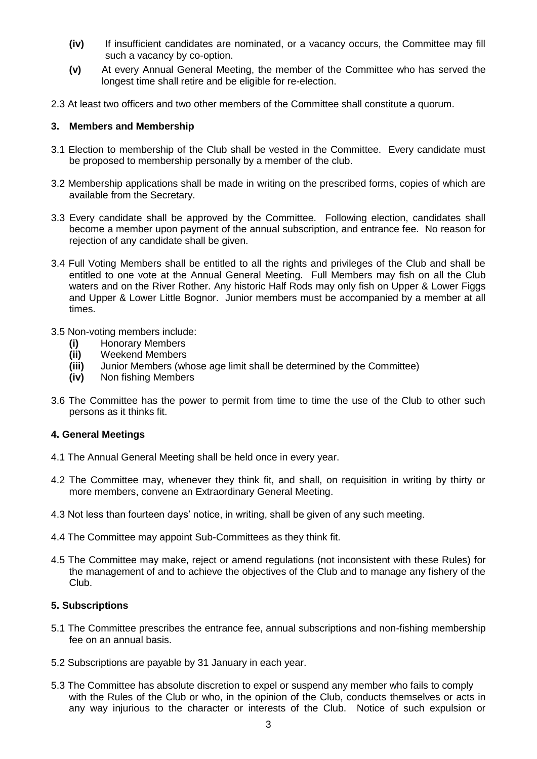- **(iv)** If insufficient candidates are nominated, or a vacancy occurs, the Committee may fill such a vacancy by co-option.
- **(v)** At every Annual General Meeting, the member of the Committee who has served the longest time shall retire and be eligible for re-election.
- 2.3 At least two officers and two other members of the Committee shall constitute a quorum.

#### **3. Members and Membership**

- 3.1 Election to membership of the Club shall be vested in the Committee. Every candidate must be proposed to membership personally by a member of the club.
- 3.2 Membership applications shall be made in writing on the prescribed forms, copies of which are available from the Secretary.
- 3.3 Every candidate shall be approved by the Committee. Following election, candidates shall become a member upon payment of the annual subscription, and entrance fee. No reason for rejection of any candidate shall be given.
- 3.4 Full Voting Members shall be entitled to all the rights and privileges of the Club and shall be entitled to one vote at the Annual General Meeting. Full Members may fish on all the Club waters and on the River Rother. Any historic Half Rods may only fish on Upper & Lower Figgs and Upper & Lower Little Bognor. Junior members must be accompanied by a member at all times.
- 3.5 Non-voting members include:
	- **(i)** Honorary Members
	- **(ii)** Weekend Members
	- **(iii)** Junior Members (whose age limit shall be determined by the Committee)
	- **(iv)** Non fishing Members
- 3.6 The Committee has the power to permit from time to time the use of the Club to other such persons as it thinks fit.

#### **4. General Meetings**

- 4.1 The Annual General Meeting shall be held once in every year.
- 4.2 The Committee may, whenever they think fit, and shall, on requisition in writing by thirty or more members, convene an Extraordinary General Meeting.
- 4.3 Not less than fourteen days' notice, in writing, shall be given of any such meeting.
- 4.4 The Committee may appoint Sub-Committees as they think fit.
- 4.5 The Committee may make, reject or amend regulations (not inconsistent with these Rules) for the management of and to achieve the objectives of the Club and to manage any fishery of the Club.

#### **5. Subscriptions**

- 5.1 The Committee prescribes the entrance fee, annual subscriptions and non-fishing membership fee on an annual basis.
- 5.2 Subscriptions are payable by 31 January in each year.
- 5.3 The Committee has absolute discretion to expel or suspend any member who fails to comply with the Rules of the Club or who, in the opinion of the Club, conducts themselves or acts in any way injurious to the character or interests of the Club. Notice of such expulsion or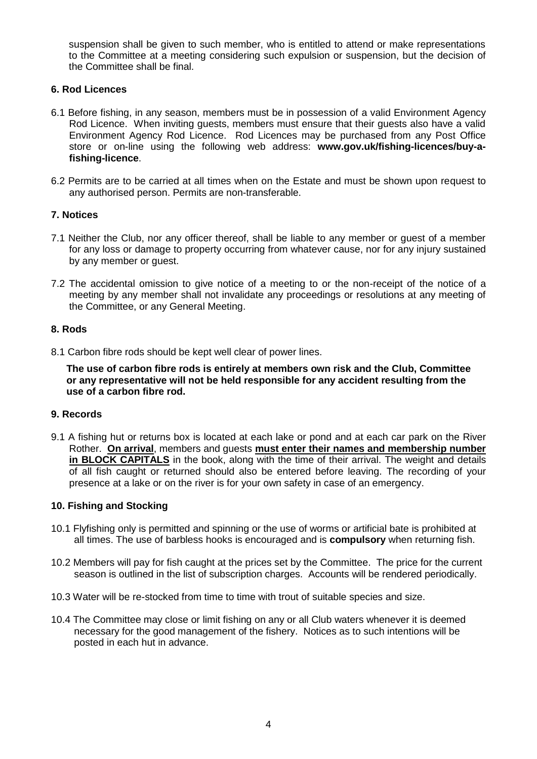suspension shall be given to such member, who is entitled to attend or make representations to the Committee at a meeting considering such expulsion or suspension, but the decision of the Committee shall be final.

### **6. Rod Licences**

- 6.1 Before fishing, in any season, members must be in possession of a valid Environment Agency Rod Licence. When inviting guests, members must ensure that their guests also have a valid Environment Agency Rod Licence. Rod Licences may be purchased from any Post Office store or on-line using the following web address: **www.gov.uk/fishing-licences/buy-afishing-licence**.
- 6.2 Permits are to be carried at all times when on the Estate and must be shown upon request to any authorised person. Permits are non-transferable.

## **7. Notices**

- 7.1 Neither the Club, nor any officer thereof, shall be liable to any member or guest of a member for any loss or damage to property occurring from whatever cause, nor for any injury sustained by any member or guest.
- 7.2 The accidental omission to give notice of a meeting to or the non-receipt of the notice of a meeting by any member shall not invalidate any proceedings or resolutions at any meeting of the Committee, or any General Meeting.

#### **8. Rods**

8.1 Carbon fibre rods should be kept well clear of power lines.

**The use of carbon fibre rods is entirely at members own risk and the Club, Committee or any representative will not be held responsible for any accident resulting from the use of a carbon fibre rod.**

#### **9. Records**

9.1 A fishing hut or returns box is located at each lake or pond and at each car park on the River Rother. **On arrival**, members and guests **must enter their names and membership number in BLOCK CAPITALS** in the book, along with the time of their arrival. The weight and details of all fish caught or returned should also be entered before leaving. The recording of your presence at a lake or on the river is for your own safety in case of an emergency.

#### **10. Fishing and Stocking**

- 10.1 Flyfishing only is permitted and spinning or the use of worms or artificial bate is prohibited at all times. The use of barbless hooks is encouraged and is **compulsory** when returning fish.
- 10.2 Members will pay for fish caught at the prices set by the Committee. The price for the current season is outlined in the list of subscription charges. Accounts will be rendered periodically.
- 10.3 Water will be re-stocked from time to time with trout of suitable species and size.
- 10.4 The Committee may close or limit fishing on any or all Club waters whenever it is deemed necessary for the good management of the fishery. Notices as to such intentions will be posted in each hut in advance.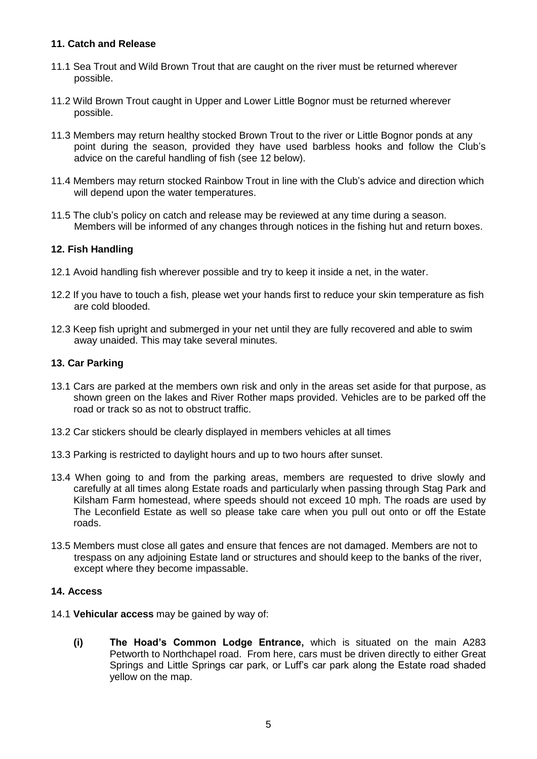## **11. Catch and Release**

- 11.1 Sea Trout and Wild Brown Trout that are caught on the river must be returned wherever possible.
- 11.2 Wild Brown Trout caught in Upper and Lower Little Bognor must be returned wherever possible.
- 11.3 Members may return healthy stocked Brown Trout to the river or Little Bognor ponds at any point during the season, provided they have used barbless hooks and follow the Club's advice on the careful handling of fish (see 12 below).
- 11.4 Members may return stocked Rainbow Trout in line with the Club's advice and direction which will depend upon the water temperatures.
- 11.5 The club's policy on catch and release may be reviewed at any time during a season. Members will be informed of any changes through notices in the fishing hut and return boxes.

## **12. Fish Handling**

- 12.1 Avoid handling fish wherever possible and try to keep it inside a net, in the water.
- 12.2 If you have to touch a fish, please wet your hands first to reduce your skin temperature as fish are cold blooded.
- 12.3 Keep fish upright and submerged in your net until they are fully recovered and able to swim away unaided. This may take several minutes.

## **13. Car Parking**

- 13.1 Cars are parked at the members own risk and only in the areas set aside for that purpose, as shown green on the lakes and River Rother maps provided. Vehicles are to be parked off the road or track so as not to obstruct traffic.
- 13.2 Car stickers should be clearly displayed in members vehicles at all times
- 13.3 Parking is restricted to daylight hours and up to two hours after sunset.
- 13.4 When going to and from the parking areas, members are requested to drive slowly and carefully at all times along Estate roads and particularly when passing through Stag Park and Kilsham Farm homestead, where speeds should not exceed 10 mph. The roads are used by The Leconfield Estate as well so please take care when you pull out onto or off the Estate roads.
- 13.5 Members must close all gates and ensure that fences are not damaged. Members are not to trespass on any adjoining Estate land or structures and should keep to the banks of the river, except where they become impassable.

## **14. Access**

- 14.1 **Vehicular access** may be gained by way of:
	- **(i) The Hoad's Common Lodge Entrance,** which is situated on the main A283 Petworth to Northchapel road. From here, cars must be driven directly to either Great Springs and Little Springs car park, or Luff's car park along the Estate road shaded yellow on the map.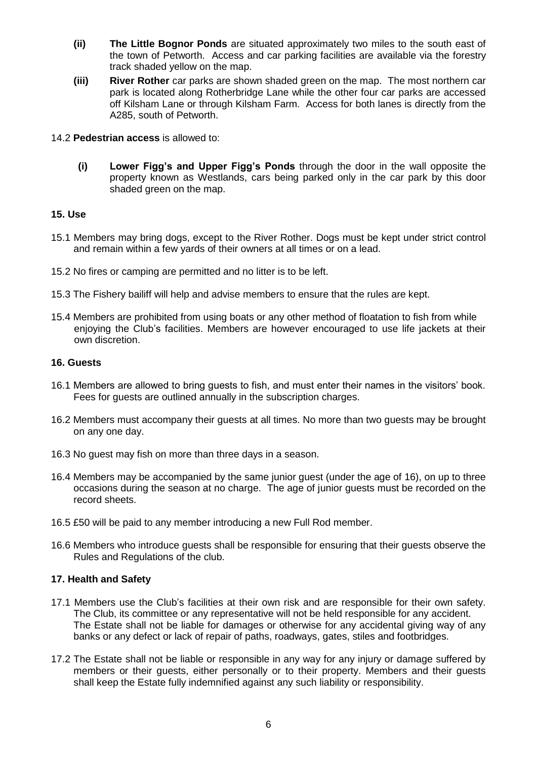- **(ii) The Little Bognor Ponds** are situated approximately two miles to the south east of the town of Petworth. Access and car parking facilities are available via the forestry track shaded yellow on the map.
- **(iii) River Rother** car parks are shown shaded green on the map. The most northern car park is located along Rotherbridge Lane while the other four car parks are accessed off Kilsham Lane or through Kilsham Farm. Access for both lanes is directly from the A285, south of Petworth.

#### 14.2 **Pedestrian access** is allowed to:

**(i) Lower Figg's and Upper Figg's Ponds** through the door in the wall opposite the property known as Westlands, cars being parked only in the car park by this door shaded green on the map.

## **15. Use**

- 15.1 Members may bring dogs, except to the River Rother. Dogs must be kept under strict control and remain within a few yards of their owners at all times or on a lead.
- 15.2 No fires or camping are permitted and no litter is to be left.
- 15.3 The Fishery bailiff will help and advise members to ensure that the rules are kept.
- 15.4 Members are prohibited from using boats or any other method of floatation to fish from while enjoying the Club's facilities. Members are however encouraged to use life jackets at their own discretion.

## **16. Guests**

- 16.1 Members are allowed to bring guests to fish, and must enter their names in the visitors' book. Fees for guests are outlined annually in the subscription charges.
- 16.2 Members must accompany their guests at all times. No more than two guests may be brought on any one day.
- 16.3 No guest may fish on more than three days in a season.
- 16.4 Members may be accompanied by the same junior guest (under the age of 16), on up to three occasions during the season at no charge. The age of junior guests must be recorded on the record sheets.
- 16.5 £50 will be paid to any member introducing a new Full Rod member.
- 16.6 Members who introduce guests shall be responsible for ensuring that their guests observe the Rules and Regulations of the club.

## **17. Health and Safety**

- 17.1 Members use the Club's facilities at their own risk and are responsible for their own safety. The Club, its committee or any representative will not be held responsible for any accident. The Estate shall not be liable for damages or otherwise for any accidental giving way of any banks or any defect or lack of repair of paths, roadways, gates, stiles and footbridges.
- 17.2 The Estate shall not be liable or responsible in any way for any injury or damage suffered by members or their guests, either personally or to their property. Members and their guests shall keep the Estate fully indemnified against any such liability or responsibility.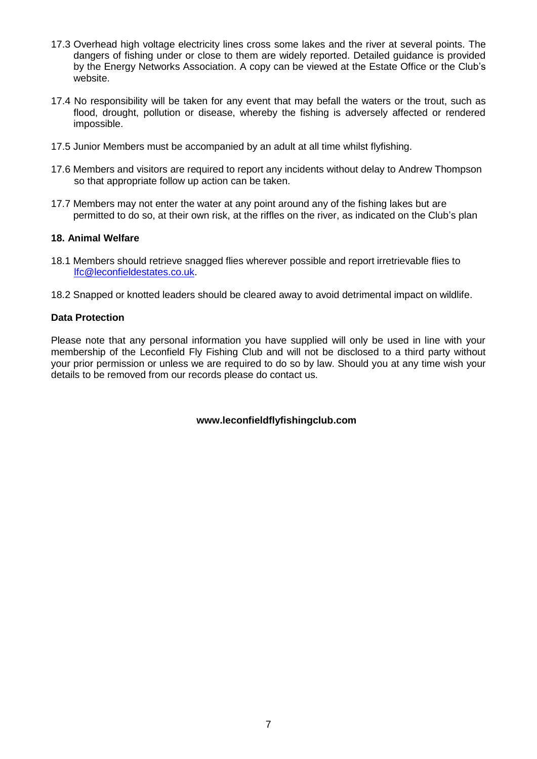- 17.3 Overhead high voltage electricity lines cross some lakes and the river at several points. The dangers of fishing under or close to them are widely reported. Detailed guidance is provided by the Energy Networks Association. A copy can be viewed at the Estate Office or the Club's website.
- 17.4 No responsibility will be taken for any event that may befall the waters or the trout, such as flood, drought, pollution or disease, whereby the fishing is adversely affected or rendered impossible.
- 17.5 Junior Members must be accompanied by an adult at all time whilst flyfishing.
- 17.6 Members and visitors are required to report any incidents without delay to Andrew Thompson so that appropriate follow up action can be taken.
- 17.7 Members may not enter the water at any point around any of the fishing lakes but are permitted to do so, at their own risk, at the riffles on the river, as indicated on the Club's plan

#### **18. Animal Welfare**

- 18.1 Members should retrieve snagged flies wherever possible and report irretrievable flies to [lfc@leconfieldestates.co.uk.](mailto:lfc@leconfieldestates.co.uk)
- 18.2 Snapped or knotted leaders should be cleared away to avoid detrimental impact on wildlife.

#### **Data Protection**

Please note that any personal information you have supplied will only be used in line with your membership of the Leconfield Fly Fishing Club and will not be disclosed to a third party without your prior permission or unless we are required to do so by law. Should you at any time wish your details to be removed from our records please do contact us.

## **www.leconfieldflyfishingclub.com**